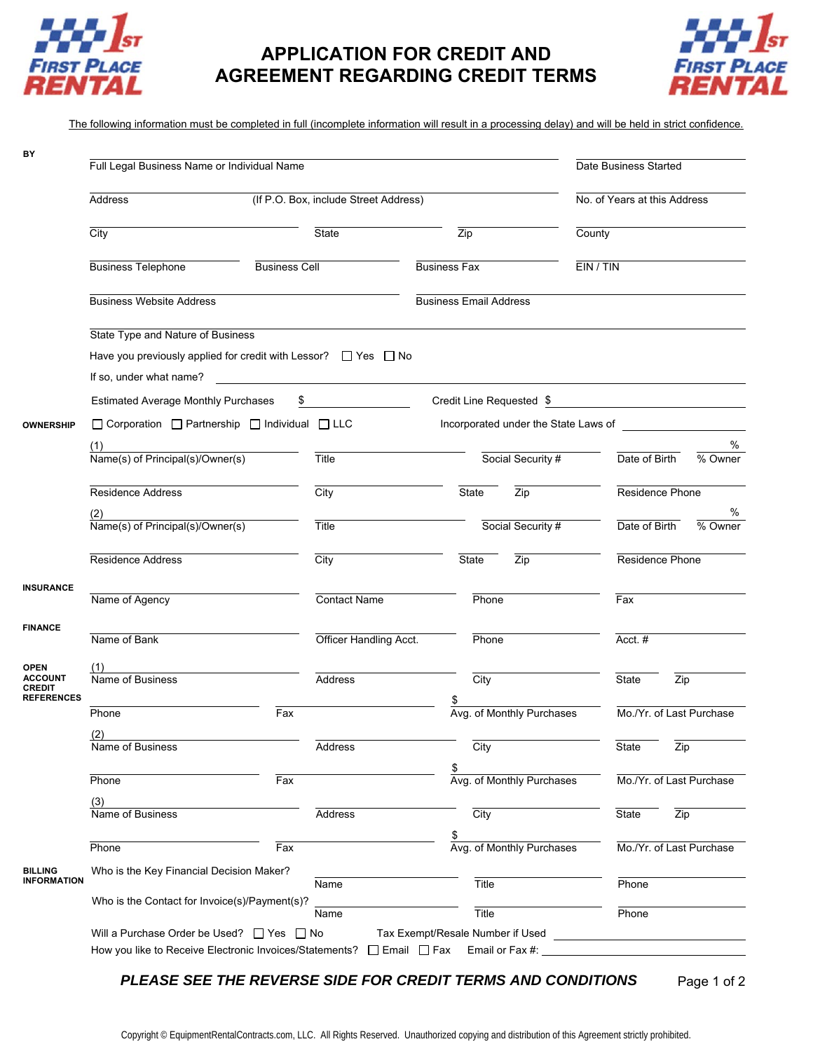

## **APPLICATION FOR CREDIT AND AGREEMENT REGARDING CREDIT TERMS**



The following information must be completed in full (incomplete information will result in a processing delay) and will be held in strict confidence.

| BY                                            | Full Legal Business Name or Individual Name                                                                                                                                         |       |                                                                                                                      |                                                                                                                                                  |                     |                           | Date Business Started |                              |                            |  |
|-----------------------------------------------|-------------------------------------------------------------------------------------------------------------------------------------------------------------------------------------|-------|----------------------------------------------------------------------------------------------------------------------|--------------------------------------------------------------------------------------------------------------------------------------------------|---------------------|---------------------------|-----------------------|------------------------------|----------------------------|--|
|                                               | (If P.O. Box, include Street Address)<br><b>Address</b>                                                                                                                             |       |                                                                                                                      |                                                                                                                                                  |                     |                           |                       | No. of Years at this Address |                            |  |
|                                               | City                                                                                                                                                                                | State |                                                                                                                      | Zip                                                                                                                                              |                     | County                    |                       |                              |                            |  |
|                                               | <b>Business Telephone</b>                                                                                                                                                           |       | <b>Business Cell</b>                                                                                                 |                                                                                                                                                  | <b>Business Fax</b> |                           | EIN / TIN             |                              |                            |  |
|                                               | <b>Business Website Address</b>                                                                                                                                                     |       |                                                                                                                      | <b>Business Email Address</b>                                                                                                                    |                     |                           |                       |                              |                            |  |
|                                               | State Type and Nature of Business<br>Have you previously applied for credit with Lessor? $\Box$ Yes $\Box$ No<br>If so, under what name?                                            |       | <u> 1980 - Jan Stein Stein Stein Stein Stein Stein Stein Stein Stein Stein Stein Stein Stein Stein Stein Stein S</u> |                                                                                                                                                  |                     |                           |                       |                              |                            |  |
|                                               | \$<br><b>Estimated Average Monthly Purchases</b>                                                                                                                                    |       |                                                                                                                      | Credit Line Requested \$<br><u> 1980 - Jan Stein Stein Stein Stein Stein Stein Stein Stein Stein Stein Stein Stein Stein Stein Stein Stein S</u> |                     |                           |                       |                              |                            |  |
|                                               |                                                                                                                                                                                     |       |                                                                                                                      |                                                                                                                                                  |                     |                           |                       |                              |                            |  |
| <b>OWNERSHIP</b>                              | $\Box$ Corporation $\Box$ Partnership $\Box$ Individual $\Box$ LLC<br>Incorporated under the State Laws of                                                                          |       |                                                                                                                      |                                                                                                                                                  |                     |                           |                       |                              |                            |  |
|                                               | $\frac{17}{Name(s)$ of Principal(s)/Owner(s)                                                                                                                                        |       | <b>Title</b>                                                                                                         |                                                                                                                                                  |                     | Social Security #         |                       | Date of Birth                | %<br>$\overline{\%}$ Owner |  |
|                                               |                                                                                                                                                                                     |       |                                                                                                                      |                                                                                                                                                  |                     |                           |                       |                              |                            |  |
|                                               | Residence Address                                                                                                                                                                   |       | City                                                                                                                 |                                                                                                                                                  | <b>State</b>        | Zip                       |                       | Residence Phone              |                            |  |
|                                               |                                                                                                                                                                                     |       |                                                                                                                      |                                                                                                                                                  |                     |                           |                       |                              | %                          |  |
|                                               | $\frac{2}{\text{Name(s) of Principal(s)/Owner(s)}}$                                                                                                                                 |       | Title                                                                                                                |                                                                                                                                                  |                     | Social Security #         |                       | Date of Birth                | % Owner                    |  |
|                                               | Residence Address                                                                                                                                                                   |       | City                                                                                                                 |                                                                                                                                                  | State               | Zip                       |                       | Residence Phone              |                            |  |
| <b>INSURANCE</b>                              | Name of Agency                                                                                                                                                                      |       | Contact Name                                                                                                         |                                                                                                                                                  | Phone               |                           |                       | Fax                          |                            |  |
| <b>FINANCE</b>                                | Name of Bank                                                                                                                                                                        |       | Officer Handling Acct.                                                                                               |                                                                                                                                                  | Phone               |                           |                       | Acct.#                       |                            |  |
| <b>OPEN</b>                                   |                                                                                                                                                                                     |       |                                                                                                                      |                                                                                                                                                  |                     |                           |                       |                              |                            |  |
| <b>ACCOUNT</b><br>CREDIT<br><b>REFERENCES</b> | Name of Business                                                                                                                                                                    |       | <b>Address</b>                                                                                                       |                                                                                                                                                  | City                |                           |                       | State                        | Zip                        |  |
|                                               | Phone                                                                                                                                                                               | Fax   |                                                                                                                      |                                                                                                                                                  |                     | Avg. of Monthly Purchases |                       | Mo./Yr. of Last Purchase     |                            |  |
|                                               | (2)                                                                                                                                                                                 |       |                                                                                                                      |                                                                                                                                                  |                     |                           |                       |                              |                            |  |
|                                               | Name of Business                                                                                                                                                                    |       | Address                                                                                                              |                                                                                                                                                  | City                |                           |                       | State                        | Zip                        |  |
|                                               | Phone                                                                                                                                                                               | Fax   |                                                                                                                      |                                                                                                                                                  | \$                  | Avg. of Monthly Purchases |                       |                              | Mo./Yr. of Last Purchase   |  |
|                                               |                                                                                                                                                                                     |       |                                                                                                                      |                                                                                                                                                  |                     |                           |                       |                              |                            |  |
|                                               | (3)<br>Name of Business                                                                                                                                                             |       | Address                                                                                                              |                                                                                                                                                  | City                |                           |                       | State                        | Zip                        |  |
|                                               |                                                                                                                                                                                     |       |                                                                                                                      |                                                                                                                                                  |                     |                           |                       |                              |                            |  |
|                                               | Phone                                                                                                                                                                               | Fax   |                                                                                                                      |                                                                                                                                                  |                     | Avg. of Monthly Purchases |                       |                              | Mo./Yr. of Last Purchase   |  |
| <b>BILLING</b>                                | Who is the Key Financial Decision Maker?                                                                                                                                            |       |                                                                                                                      |                                                                                                                                                  |                     |                           |                       |                              |                            |  |
| <b>INFORMATION</b>                            |                                                                                                                                                                                     |       | Name                                                                                                                 |                                                                                                                                                  | Title               |                           |                       | Phone                        |                            |  |
|                                               | Who is the Contact for Invoice(s)/Payment(s)?                                                                                                                                       |       | Name                                                                                                                 |                                                                                                                                                  | Title               |                           |                       | Phone                        |                            |  |
|                                               |                                                                                                                                                                                     |       |                                                                                                                      |                                                                                                                                                  |                     |                           |                       |                              |                            |  |
|                                               | Will a Purchase Order be Used? $\Box$ Yes $\Box$ No<br>Tax Exempt/Resale Number if Used<br>How you like to Receive Electronic Invoices/Statements? □ Email □ Fax<br>Email or Fax #: |       |                                                                                                                      |                                                                                                                                                  |                     |                           |                       |                              |                            |  |

*PLEASE SEE THE REVERSE SIDE FOR CREDIT TERMS AND CONDITIONS* Page 1 of 2